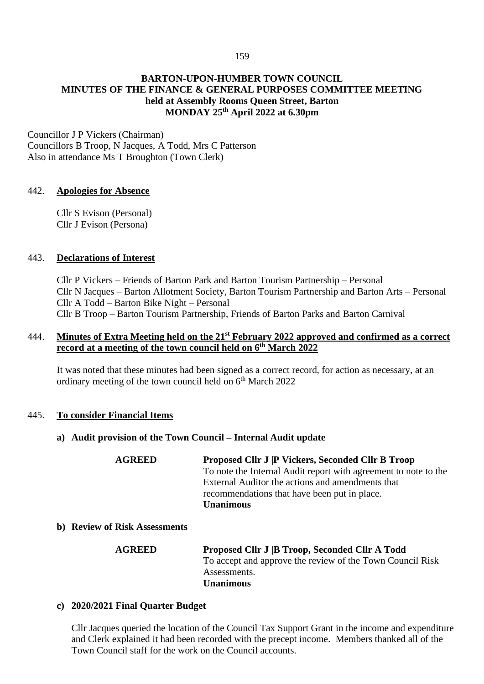## **BARTON-UPON-HUMBER TOWN COUNCIL MINUTES OF THE FINANCE & GENERAL PURPOSES COMMITTEE MEETING held at Assembly Rooms Queen Street, Barton MONDAY 25 th April 2022 at 6.30pm**

Councillor J P Vickers (Chairman) Councillors B Troop, N Jacques, A Todd, Mrs C Patterson Also in attendance Ms T Broughton (Town Clerk)

### 442. **Apologies for Absence**

Cllr S Evison (Personal) Cllr J Evison (Persona)

### 443. **Declarations of Interest**

Cllr P Vickers – Friends of Barton Park and Barton Tourism Partnership – Personal Cllr N Jacques – Barton Allotment Society, Barton Tourism Partnership and Barton Arts – Personal Cllr A Todd – Barton Bike Night – Personal Cllr B Troop – Barton Tourism Partnership, Friends of Barton Parks and Barton Carnival

### 444. **Minutes of Extra Meeting held on the 21st February 2022 approved and confirmed as a correct record at a meeting of the town council held on 6 th March 2022**

It was noted that these minutes had been signed as a correct record, for action as necessary, at an ordinary meeting of the town council held on 6<sup>th</sup> March 2022

### 445. **To consider Financial Items**

### **a) Audit provision of the Town Council – Internal Audit update**

| <b>AGREED</b> | <b>Proposed Cllr J P Vickers, Seconded Cllr B Troop</b>         |
|---------------|-----------------------------------------------------------------|
|               | To note the Internal Audit report with agreement to note to the |
|               | External Auditor the actions and amendments that                |
|               | recommendations that have been put in place.                    |
|               | <b>Unanimous</b>                                                |

### **b) Review of Risk Assessments**

| <b>AGREED</b> | Proposed Cllr J  B Troop, Seconded Cllr A Todd            |
|---------------|-----------------------------------------------------------|
|               | To accept and approve the review of the Town Council Risk |
|               | Assessments.                                              |
|               | <b>Unanimous</b>                                          |

### **c) 2020/2021 Final Quarter Budget**

Cllr Jacques queried the location of the Council Tax Support Grant in the income and expenditure and Clerk explained it had been recorded with the precept income. Members thanked all of the Town Council staff for the work on the Council accounts.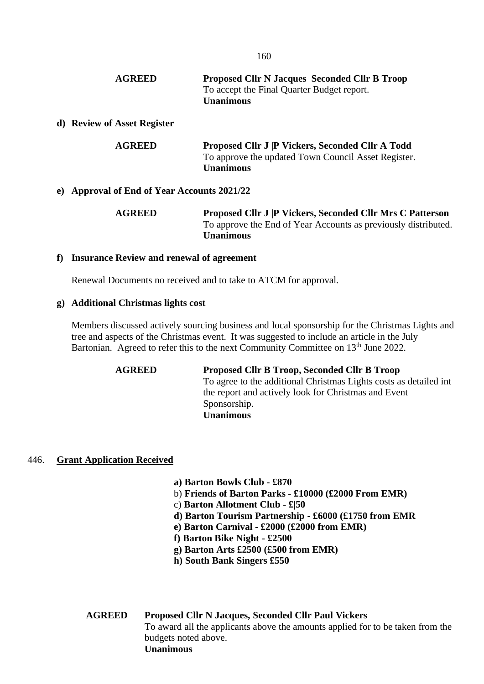160

| <b>AGREED</b> | <b>Proposed Cllr N Jacques Seconded Cllr B Troop</b> |
|---------------|------------------------------------------------------|
|               | To accept the Final Quarter Budget report.           |
|               | <b>Unanimous</b>                                     |

### **d) Review of Asset Register**

| <b>AGREED</b> | <b>Proposed Cllr J P Vickers, Seconded Cllr A Todd</b> |
|---------------|--------------------------------------------------------|
|               | To approve the updated Town Council Asset Register.    |
|               | <b>Unanimous</b>                                       |

## **e) Approval of End of Year Accounts 2021/22**

| <b>AGREED</b> | <b>Proposed Cllr J P Vickers, Seconded Cllr Mrs C Patterson</b> |
|---------------|-----------------------------------------------------------------|
|               | To approve the End of Year Accounts as previously distributed.  |
|               | <b>Unanimous</b>                                                |

### **f) Insurance Review and renewal of agreement**

Renewal Documents no received and to take to ATCM for approval.

## **g) Additional Christmas lights cost**

Members discussed actively sourcing business and local sponsorship for the Christmas Lights and tree and aspects of the Christmas event. It was suggested to include an article in the July Bartonian. Agreed to refer this to the next Community Committee on 13<sup>th</sup> June 2022.

> **AGREED Proposed Cllr B Troop, Seconded Cllr B Troop** To agree to the additional Christmas Lights costs as detailed int the report and actively look for Christmas and Event Sponsorship. **Unanimous**

# 446. **Grant Application Received**

- **a) Barton Bowls Club - £870**
- b) **Friends of Barton Parks - £10000 (£2000 From EMR)**
- c) **Barton Allotment Club - £|50**
- **d) Barton Tourism Partnership - £6000 (£1750 from EMR**
- **e) Barton Carnival - £2000 (£2000 from EMR)**
- **f) Barton Bike Night - £2500**
- **g) Barton Arts £2500 (£500 from EMR)**
- **h) South Bank Singers £550**

**AGREED Proposed Cllr N Jacques, Seconded Cllr Paul Vickers** To award all the applicants above the amounts applied for to be taken from the budgets noted above. **Unanimous**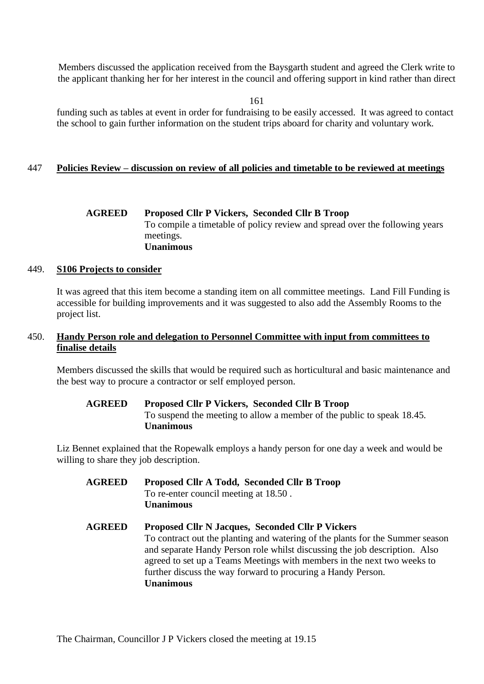Members discussed the application received from the Baysgarth student and agreed the Clerk write to the applicant thanking her for her interest in the council and offering support in kind rather than direct

161

funding such as tables at event in order for fundraising to be easily accessed. It was agreed to contact the school to gain further information on the student trips aboard for charity and voluntary work.

### 447 **Policies Review – discussion on review of all policies and timetable to be reviewed at meetings**

## **AGREED Proposed Cllr P Vickers, Seconded Cllr B Troop** To compile a timetable of policy review and spread over the following years meetings. **Unanimous**

### 449. **S106 Projects to consider**

It was agreed that this item become a standing item on all committee meetings. Land Fill Funding is accessible for building improvements and it was suggested to also add the Assembly Rooms to the project list.

## 450. **Handy Person role and delegation to Personnel Committee with input from committees to finalise details**

Members discussed the skills that would be required such as horticultural and basic maintenance and the best way to procure a contractor or self employed person.

# **AGREED Proposed Cllr P Vickers, Seconded Cllr B Troop** To suspend the meeting to allow a member of the public to speak 18.45. **Unanimous**

Liz Bennet explained that the Ropewalk employs a handy person for one day a week and would be willing to share they job description.

- **AGREED Proposed Cllr A Todd, Seconded Cllr B Troop** To re-enter council meeting at 18.50 . **Unanimous**
- **AGREED Proposed Cllr N Jacques, Seconded Cllr P Vickers** To contract out the planting and watering of the plants for the Summer season and separate Handy Person role whilst discussing the job description. Also agreed to set up a Teams Meetings with members in the next two weeks to further discuss the way forward to procuring a Handy Person. **Unanimous**